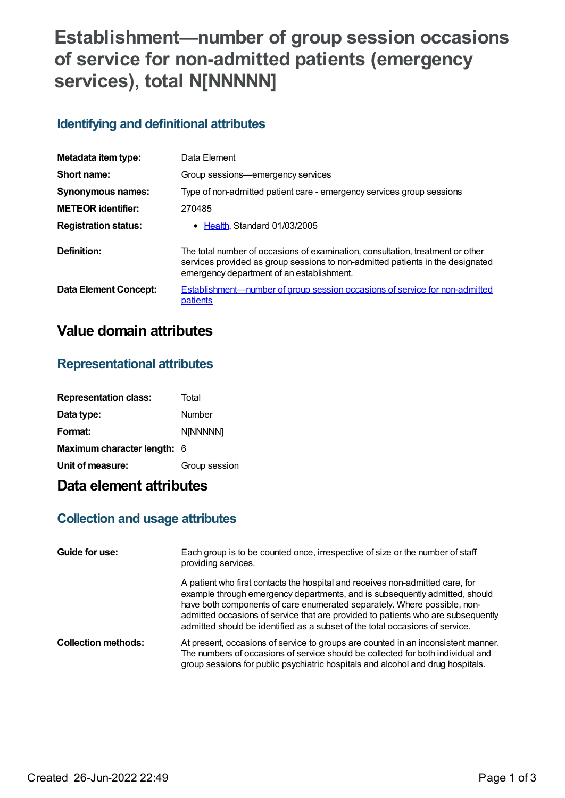# **Establishment—number of group session occasions of service for non-admitted patients (emergency services), total N[NNNNN]**

## **Identifying and definitional attributes**

| Metadata item type:          | Data Element                                                                                                                                                                                                  |
|------------------------------|---------------------------------------------------------------------------------------------------------------------------------------------------------------------------------------------------------------|
| Short name:                  | Group sessions—emergency services                                                                                                                                                                             |
| <b>Synonymous names:</b>     | Type of non-admitted patient care - emergency services group sessions                                                                                                                                         |
| <b>METEOR</b> identifier:    | 270485                                                                                                                                                                                                        |
| <b>Registration status:</b>  | • Health Standard 01/03/2005                                                                                                                                                                                  |
| Definition:                  | The total number of occasions of examination, consultation, treatment or other<br>services provided as group sessions to non-admitted patients in the designated<br>emergency department of an establishment. |
| <b>Data Element Concept:</b> | <b>Establishment—number of group session occasions of service for non-admitted</b><br>patients                                                                                                                |

## **Value domain attributes**

### **Representational attributes**

| <b>Representation class:</b> | Total         |
|------------------------------|---------------|
| Data type:                   | Number        |
| Format:                      | N[NNNNN]      |
| Maximum character length: 6  |               |
| Unit of measure:             | Group session |

## **Data element attributes**

## **Collection and usage attributes**

| Guide for use:             | Each group is to be counted once, irrespective of size or the number of staff<br>providing services.                                                                                                                                                                                                                                                                                                         |
|----------------------------|--------------------------------------------------------------------------------------------------------------------------------------------------------------------------------------------------------------------------------------------------------------------------------------------------------------------------------------------------------------------------------------------------------------|
|                            | A patient who first contacts the hospital and receives non-admitted care, for<br>example through emergency departments, and is subsequently admitted, should<br>have both components of care enumerated separately. Where possible, non-<br>admitted occasions of service that are provided to patients who are subsequently<br>admitted should be identified as a subset of the total occasions of service. |
| <b>Collection methods:</b> | At present, occasions of service to groups are counted in an inconsistent manner.<br>The numbers of occasions of service should be collected for both individual and<br>group sessions for public psychiatric hospitals and alcohol and drug hospitals.                                                                                                                                                      |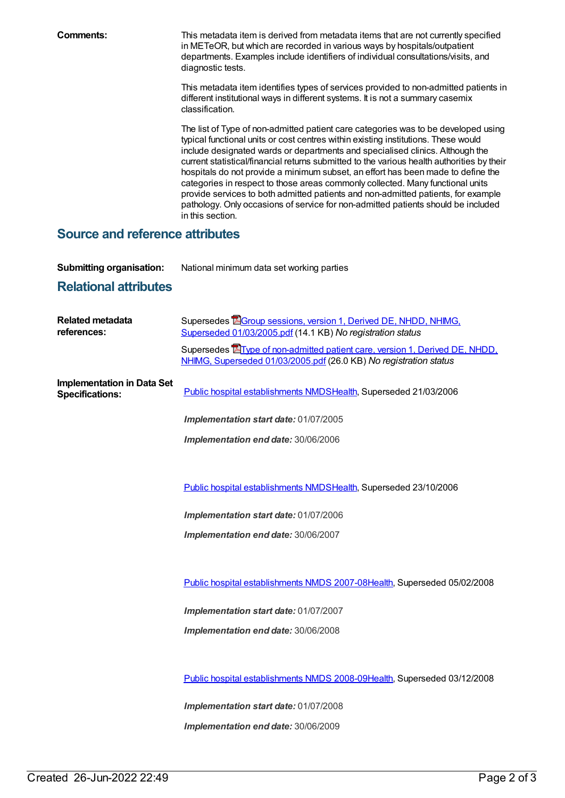**Comments:** This metadata item is derived from metadata items that are not currently specified in METeOR, but which are recorded in various ways by hospitals/outpatient departments. Examples include identifiers of individual consultations/visits, and diagnostic tests.

> This metadata item identifies types of services provided to non-admitted patients in different institutional ways in different systems. It is not a summary casemix classification.

> The list of Type of non-admitted patient care categories was to be developed using typical functional units or cost centres within existing institutions. These would include designated wards or departments and specialised clinics. Although the current statistical/financial returns submitted to the various health authorities by their hospitals do not provide a minimum subset, an effort has been made to define the categories in respect to those areas commonly collected. Many functional units provide services to both admitted patients and non-admitted patients, for example pathology. Only occasions of service for non-admitted patients should be included in this section.

#### **Source and reference attributes**

**Submitting organisation:** National minimum data set working parties

## **Relational attributes**

| <b>Related metadata</b><br>references:                      | Supersedes <b>EG</b> roup sessions, version 1, Derived DE, NHDD, NHIMG,<br>Superseded 01/03/2005.pdf (14.1 KB) No registration status                    |
|-------------------------------------------------------------|----------------------------------------------------------------------------------------------------------------------------------------------------------|
|                                                             | Supersedes <b>E</b> Type of non-admitted patient care, version 1, Derived DE, NHDD,<br>NHIMG, Superseded 01/03/2005.pdf (26.0 KB) No registration status |
| <b>Implementation in Data Set</b><br><b>Specifications:</b> | Public hospital establishments NMDSHealth, Superseded 21/03/2006                                                                                         |
|                                                             | Implementation start date: 01/07/2005                                                                                                                    |
|                                                             | Implementation end date: 30/06/2006                                                                                                                      |
|                                                             |                                                                                                                                                          |
|                                                             | Public hospital establishments NMDSHealth, Superseded 23/10/2006                                                                                         |
|                                                             | Implementation start date: 01/07/2006                                                                                                                    |
|                                                             | Implementation end date: 30/06/2007                                                                                                                      |
|                                                             |                                                                                                                                                          |
|                                                             | Public hospital establishments NMDS 2007-08Health, Superseded 05/02/2008                                                                                 |
|                                                             | Implementation start date: 01/07/2007                                                                                                                    |
|                                                             | Implementation end date: 30/06/2008                                                                                                                      |
|                                                             |                                                                                                                                                          |
|                                                             | Public hospital establishments NMDS 2008-09Health, Superseded 03/12/2008                                                                                 |
|                                                             | Implementation start date: 01/07/2008                                                                                                                    |
|                                                             | Implementation end date: 30/06/2009                                                                                                                      |